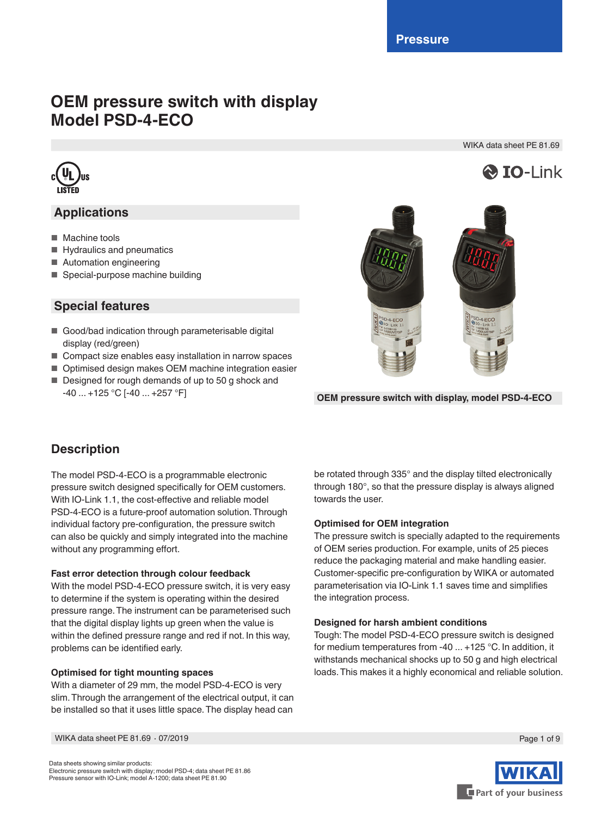# **OEM pressure switch with display Model PSD-4-ECO**

WIKA data sheet PE 81.69

**& IO-Link** 



# **Applications**

- Machine tools
- Hydraulics and pneumatics
- Automation engineering
- Special-purpose machine building

# **Special features**

- Good/bad indication through parameterisable digital display (red/green)
- Compact size enables easy installation in narrow spaces
- Optimised design makes OEM machine integration easier
- Designed for rough demands of up to 50 g shock and



-40 ... +125 °C [-40 ... +257 °F] **OEM pressure switch with display, model PSD-4-ECO**

# **Description**

The model PSD-4-ECO is a programmable electronic pressure switch designed specifically for OEM customers. With IO-Link 1.1, the cost-effective and reliable model PSD-4-ECO is a future-proof automation solution. Through individual factory pre-configuration, the pressure switch can also be quickly and simply integrated into the machine without any programming effort.

## **Fast error detection through colour feedback**

With the model PSD-4-ECO pressure switch, it is very easy to determine if the system is operating within the desired pressure range. The instrument can be parameterised such that the digital display lights up green when the value is within the defined pressure range and red if not. In this way, problems can be identified early.

## **Optimised for tight mounting spaces**

With a diameter of 29 mm, the model PSD-4-ECO is very slim. Through the arrangement of the electrical output, it can be installed so that it uses little space. The display head can be rotated through 335° and the display tilted electronically through 180°, so that the pressure display is always aligned towards the user.

## **Optimised for OEM integration**

The pressure switch is specially adapted to the requirements of OEM series production. For example, units of 25 pieces reduce the packaging material and make handling easier. Customer-specific pre-configuration by WIKA or automated parameterisation via IO-Link 1.1 saves time and simplifies the integration process.

## **Designed for harsh ambient conditions**

Tough: The model PSD-4-ECO pressure switch is designed for medium temperatures from -40 ... +125 °C. In addition, it withstands mechanical shocks up to 50 g and high electrical loads. This makes it a highly economical and reliable solution.

WIKA data sheet PE 81.69 ⋅ 07/2019 Page 1 of 9

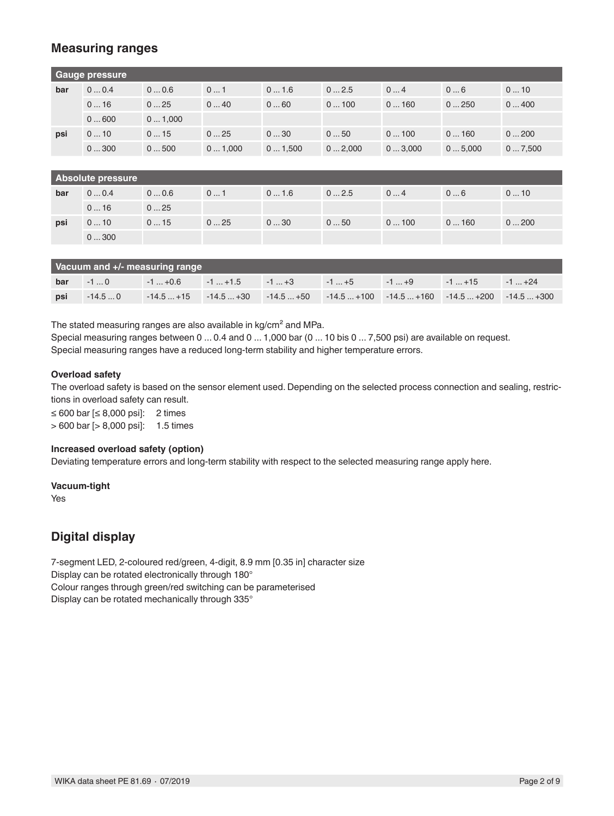## **Measuring ranges**

| Gauge pressure |                          |        |        |        |        |        |        |        |
|----------------|--------------------------|--------|--------|--------|--------|--------|--------|--------|
| bar            | 00.4                     | 00.6   | 01     | 01.6   | 02.5   | 04     | 06     | 010    |
|                | 016                      | 025    | 040    | 060    | 0100   | 0160   | 0250   | 0400   |
|                | 0600                     | 01,000 |        |        |        |        |        |        |
| psi            | 010                      | 015    | 025    | 030    | 050    | 0100   | 0160   | 0200   |
|                | 0300                     | 0500   | 01,000 | 01,500 | 02,000 | 03,000 | 05,000 | 07,500 |
|                |                          |        |        |        |        |        |        |        |
|                | <b>Absolute pressure</b> |        |        |        |        |        |        |        |
| bar            | 00.4                     | 00.6   | 01     | 01.6   | 02.5   | 04     | 06     | 010    |
|                | 016                      | 025    |        |        |        |        |        |        |
| psi            | 010                      | 015    | 025    | 030    | 050    | 0100   | 0160   | 0200   |
|                | 0300                     |        |        |        |        |        |        |        |
|                |                          |        |        |        |        |        |        |        |

|     | Vacuum and +/- measuring range |  |                                                                                           |  |  |  |  |  |
|-----|--------------------------------|--|-------------------------------------------------------------------------------------------|--|--|--|--|--|
| bar |                                |  |                                                                                           |  |  |  |  |  |
| psi |                                |  | $-14.50$ $-14.5+15$ $-14.5+30$ $-14.5+50$ $-14.5+100$ $-14.5+160$ $-14.5+200$ $-14.5+300$ |  |  |  |  |  |

The stated measuring ranges are also available in kg/cm<sup>2</sup> and MPa.

Special measuring ranges between 0 ... 0.4 and 0 ... 1,000 bar (0 ... 10 bis 0 ... 7,500 psi) are available on request. Special measuring ranges have a reduced long-term stability and higher temperature errors.

#### **Overload safety**

The overload safety is based on the sensor element used. Depending on the selected process connection and sealing, restrictions in overload safety can result.

≤ 600 bar [≤ 8,000 psi]: 2 times > 600 bar [> 8,000 psi]: 1.5 times

### **Increased overload safety (option)**

Deviating temperature errors and long-term stability with respect to the selected measuring range apply here.

**Vacuum-tight**

Yes

## **Digital display**

7-segment LED, 2-coloured red/green, 4-digit, 8.9 mm [0.35 in] character size Display can be rotated electronically through 180° Colour ranges through green/red switching can be parameterised Display can be rotated mechanically through 335°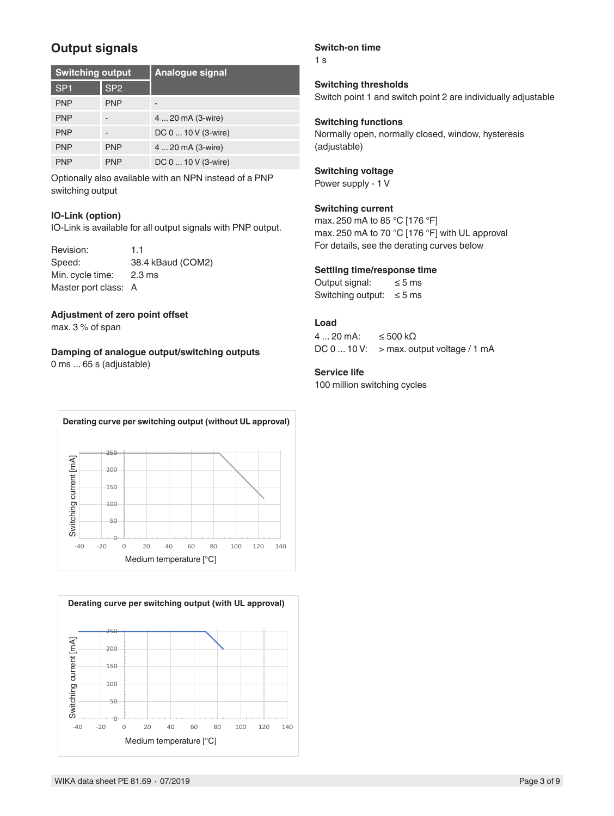# **Output signals**

| <b>Switching output</b> |                 | <b>Analogue signal</b> |
|-------------------------|-----------------|------------------------|
| SP <sub>1</sub>         | SP <sub>2</sub> |                        |
| <b>PNP</b>              | <b>PNP</b>      |                        |
| <b>PNP</b>              |                 | 4  20 mA (3-wire)      |
| <b>PNP</b>              |                 | DC 0  10 V (3-wire)    |
| <b>PNP</b>              | <b>PNP</b>      | 4  20 mA (3-wire)      |
| <b>PNP</b>              | <b>PNP</b>      | DC 0  10 V (3-wire)    |

Optionally also available with an NPN instead of a PNP switching output

#### **IO-Link (option)**

IO-Link is available for all output signals with PNP output.

| Revision:            | 11                |
|----------------------|-------------------|
| Speed:               | 38.4 kBaud (COM2) |
| Min. cycle time:     | 2.3 ms            |
| Master port class: A |                   |

#### **Adjustment of zero point offset**

max. 3 % of span

### **Damping of analogue output/switching outputs**

0 ms ... 65 s (adjustable)

#### **Switch-on time**

1 s

**Switching thresholds** Switch point 1 and switch point 2 are individually adjustable

#### **Switching functions**

Normally open, normally closed, window, hysteresis (adjustable)

## **Switching voltage**

Power supply - 1 V

### **Switching current**

max. 250 mA to 85 °C [176 °F] max. 250 mA to 70 °C [176 °F] with UL approval For details, see the derating curves below

#### **Settling time/response time**

Output signal:  $\leq 5$  ms Switching output:  $\leq$  5 ms

#### **Load**

 $4...20$  mA: ≤ 500 kΩ DC  $0...10V$ : > max. output voltage / 1 mA

#### **Service life**

100 million switching cycles



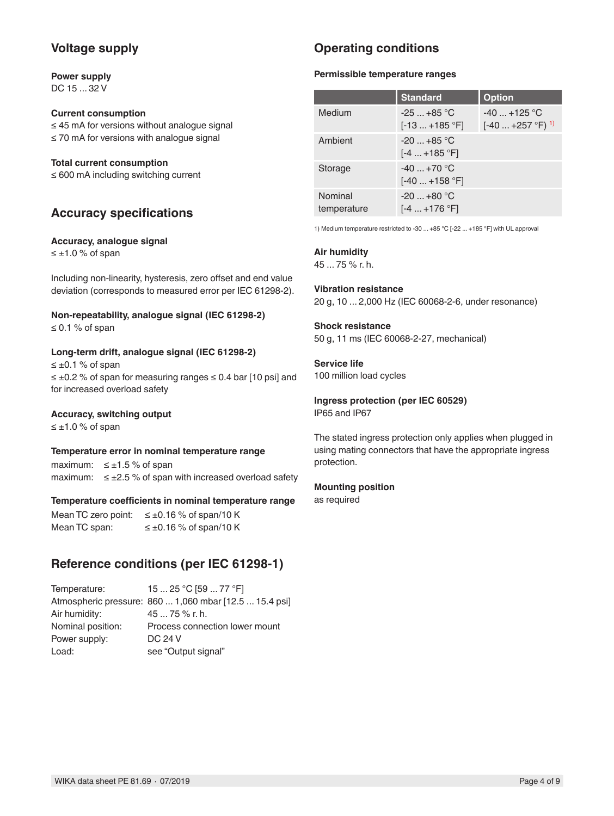## **Voltage supply**

#### **Power supply** DC 15 ... 32 V

### **Current consumption**

≤ 45 mA for versions without analogue signal ≤ 70 mA for versions with analogue signal

#### **Total current consumption**

≤ 600 mA including switching current

## **Accuracy specifications**

#### **Accuracy, analogue signal**

≤ ±1.0 % of span

Including non-linearity, hysteresis, zero offset and end value deviation (corresponds to measured error per IEC 61298-2).

## **Non-repeatability, analogue signal (IEC 61298-2)**

≤ 0.1 % of span

#### **Long-term drift, analogue signal (IEC 61298-2)**

 $≤ ±0.1 %$  of span ≤ ±0.2 % of span for measuring ranges ≤ 0.4 bar [10 psi] and for increased overload safety

### **Accuracy, switching output**

 $≤ ±1.0 %$  of span

#### **Temperature error in nominal temperature range**

maximum:  $\leq \pm 1.5$  % of span maximum:  $\leq \pm 2.5$  % of span with increased overload safety

#### **Temperature coefficients in nominal temperature range**

Mean TC zero point:  $\leq \pm 0.16$  % of span/10 K Mean TC span:  $\leq \pm 0.16$  % of span/10 K

## **Reference conditions (per IEC 61298-1)**

Temperature: 15 ... 25 °C [59 ... 77 °F] Atmospheric pressure: 860 ... 1,060 mbar [12.5 ... 15.4 psi] Air humidity: 45 ... 75 % r. h. Nominal position: Process connection lower mount Power supply: DC 24 V Load: see "Output signal"

# **Operating conditions**

#### **Permissible temperature ranges**

|                        | <b>Standard</b>               | <b>Option</b>                                   |
|------------------------|-------------------------------|-------------------------------------------------|
| Medium                 | $-25+85$ °C<br>$[-13+185 °F]$ | $-40$ $+125$ °C<br>$[-40+257 °F]$ <sup>1)</sup> |
| Ambient                | $-20+85$ °C<br>$[-4+185 °F]$  |                                                 |
| Storage                | $-40+70$ °C<br>[-40  +158 °F] |                                                 |
| Nominal<br>temperature | $-20+80 °C$<br>[-4  +176 °F]  |                                                 |

1) Medium temperature restricted to -30 ... +85 °C [-22 ... +185 °F] with UL approval

#### **Air humidity**

45 ... 75 % r. h.

### **Vibration resistance**

20 g, 10 ... 2,000 Hz (IEC 60068-2-6, under resonance)

#### **Shock resistance**

50 g, 11 ms (IEC 60068-2-27, mechanical)

#### **Service life** 100 million load cycles

**Ingress protection (per IEC 60529)**

IP65 and IP67

The stated ingress protection only applies when plugged in using mating connectors that have the appropriate ingress protection.

### **Mounting position**

as required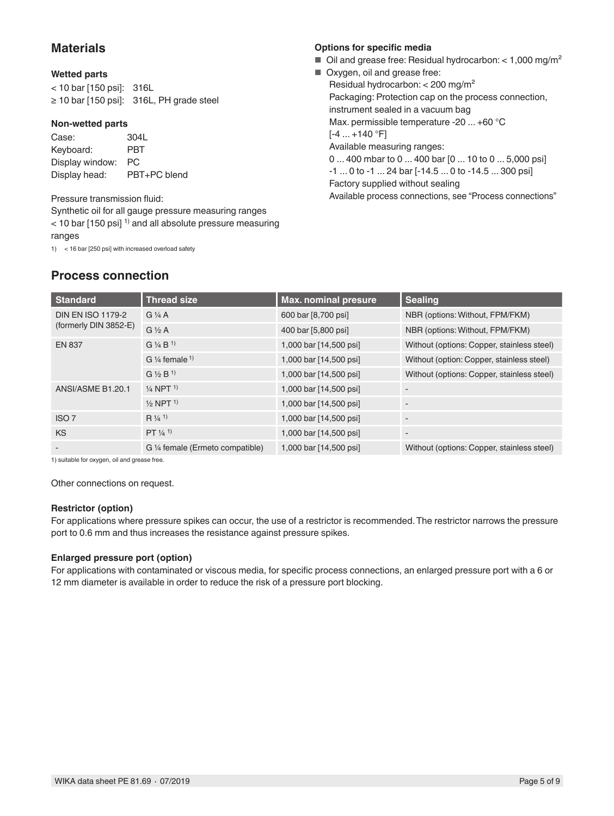## **Materials**

### **Wetted parts**

| < 10 bar [150 psi]: 316L |                                               |
|--------------------------|-----------------------------------------------|
|                          | $\geq 10$ bar [150 psi]: 316L, PH grade steel |

#### **Non-wetted parts**

Case: 304L Keyboard: PBT Display window: PC Display head: PBT+PC blend

### Pressure transmission fluid:

**Process connection**

Synthetic oil for all gauge pressure measuring ranges  $<$  10 bar [150 psi]<sup>1)</sup> and all absolute pressure measuring ranges

1) < 16 bar [250 psi] with increased overload safety

## **Options for specific media**

- $\blacksquare$  Oil and grease free: Residual hydrocarbon: < 1,000 mg/m<sup>2</sup>
- Oxygen, oil and grease free: Residual hydrocarbon: < 200 mg/m² Packaging: Protection cap on the process connection, instrument sealed in a vacuum bag Max. permissible temperature -20 ... +60 °C  $[-4 ... +140 °F]$ Available measuring ranges: 0 ... 400 mbar to 0 ... 400 bar [0 ... 10 to 0 ... 5,000 psi] -1 ... 0 to -1 ... 24 bar [-14.5 ... 0 to -14.5 ... 300 psi] Factory supplied without sealing Available process connections, see "Process connections"

| <b>Standard</b>          | <b>Thread size</b>                   | <b>Max. nominal presure</b> | <b>Sealing</b>                             |
|--------------------------|--------------------------------------|-----------------------------|--------------------------------------------|
| <b>DIN EN ISO 1179-2</b> | $G\mathcal{V}_4$ A                   | 600 bar [8,700 psi]         | NBR (options: Without, FPM/FKM)            |
| (formerly DIN 3852-E)    | $G\frac{1}{2}A$                      | 400 bar [5,800 psi]         | NBR (options: Without, FPM/FKM)            |
| <b>EN 837</b>            | $G$ ¼ B <sup>1</sup>                 | 1,000 bar [14,500 psi]      | Without (options: Copper, stainless steel) |
|                          | G $\frac{1}{4}$ female $\frac{1}{4}$ | 1,000 bar [14,500 psi]      | Without (option: Copper, stainless steel)  |
|                          | $G \frac{1}{2} B^{1}$                | 1,000 bar [14,500 psi]      | Without (options: Copper, stainless steel) |
| ANSI/ASME B1.20.1        | $\frac{1}{4}$ NPT $\frac{1}{1}$      | 1,000 bar [14,500 psi]      |                                            |
|                          | $\frac{1}{2}$ NPT <sup>1</sup>       | 1,000 bar [14,500 psi]      |                                            |
| ISO <sub>7</sub>         | $R\frac{1}{4}$ <sup>1)</sup>         | 1,000 bar [14,500 psi]      |                                            |
| <b>KS</b>                | $PT \frac{1}{4}$ <sup>1)</sup>       | 1,000 bar [14,500 psi]      |                                            |
| -                        | G 1/4 female (Ermeto compatible)     | 1,000 bar [14,500 psi]      | Without (options: Copper, stainless steel) |

1) suitable for oxygen, oil and grease free.

Other connections on request.

#### **Restrictor (option)**

For applications where pressure spikes can occur, the use of a restrictor is recommended. The restrictor narrows the pressure port to 0.6 mm and thus increases the resistance against pressure spikes.

### **Enlarged pressure port (option)**

For applications with contaminated or viscous media, for specific process connections, an enlarged pressure port with a 6 or 12 mm diameter is available in order to reduce the risk of a pressure port blocking.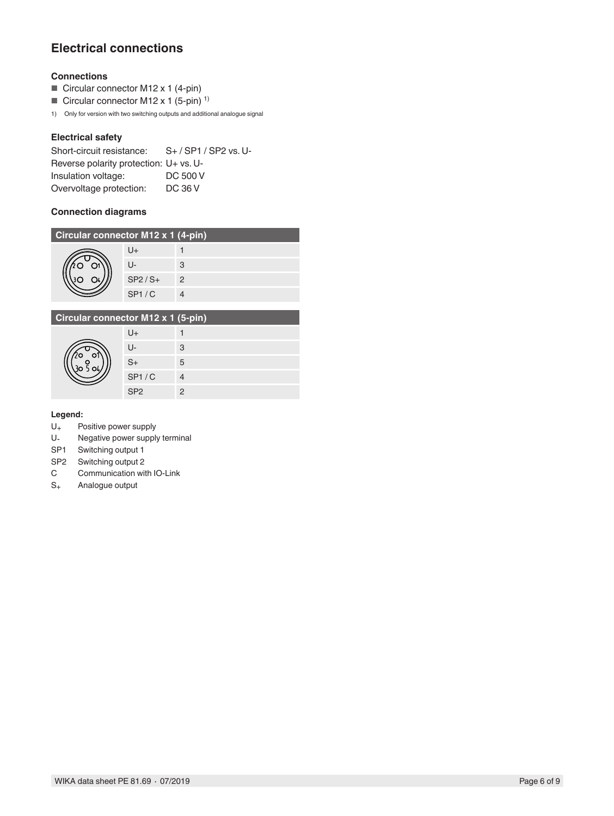# **Electrical connections**

### **Connections**

- Circular connector M12 x 1 (4-pin)
- Circular connector M12 x 1 (5-pin)<sup>1)</sup>

1) Only for version with two switching outputs and additional analogue signal

### **Electrical safety**

| Short-circuit resistance:              | S+/SP1/SP2 vs. U- |
|----------------------------------------|-------------------|
| Reverse polarity protection: U+ vs. U- |                   |
| Insulation voltage:                    | DC 500 V          |
| Overvoltage protection:                | DC 36 V           |

#### **Connection diagrams**

| Circular connector M12 x 1 (4-pin) |              |   |  |  |
|------------------------------------|--------------|---|--|--|
|                                    | U+           |   |  |  |
|                                    | $\mathsf{L}$ | 3 |  |  |
|                                    | $SP2/S+$     | 2 |  |  |
|                                    | SP1/C        |   |  |  |

| Circular connector M12 x 1 (5-pin) |                 |   |  |  |
|------------------------------------|-----------------|---|--|--|
|                                    | U+              |   |  |  |
|                                    | $\mathsf{L}$    | 3 |  |  |
|                                    | $S+$            | 5 |  |  |
|                                    | SP1/C           |   |  |  |
|                                    | SP <sub>2</sub> | 2 |  |  |

### **Legend:**

- $U_+$  Positive power supply<br>U- Negative power supply
- Negative power supply terminal
- SP1 Switching output 1
- SP2 Switching output 2
- C Communication with IO-Link
- S+ Analogue output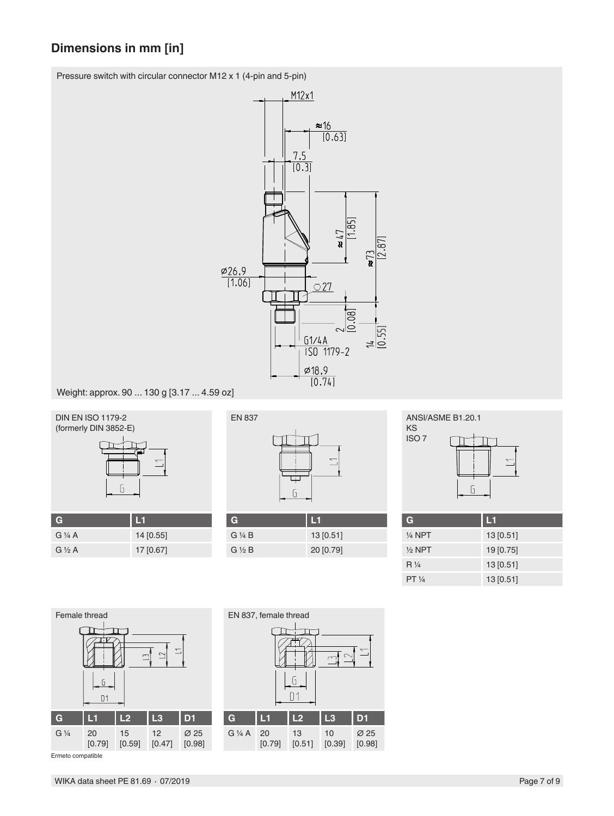# **Dimensions in mm [in]**

Pressure switch with circular connector M12 x 1 (4-pin and 5-pin)



Weight: approx. 90 ... 130 g [3.17 ... 4.59 oz]



| G               | $\blacksquare$ |
|-----------------|----------------|
| $G\frac{1}{4}A$ | 14 [0.55]      |
| $G\frac{1}{2}A$ | 17 [0.67]      |
|                 |                |



| G                     | 151       |
|-----------------------|-----------|
| $G\mathrel{\vee} A B$ | 13[0.51]  |
| $G \ntriangle B$      | 20 [0.79] |



| G                 | L1        |
|-------------------|-----------|
| $\frac{1}{4}$ NPT | 13[0.51]  |
| $1/2$ NPT         | 19 [0.75] |
| $R\frac{1}{4}$    | 13 [0.51] |
| $PT \frac{1}{4}$  | 13 [0.51] |



Ermeto compatible

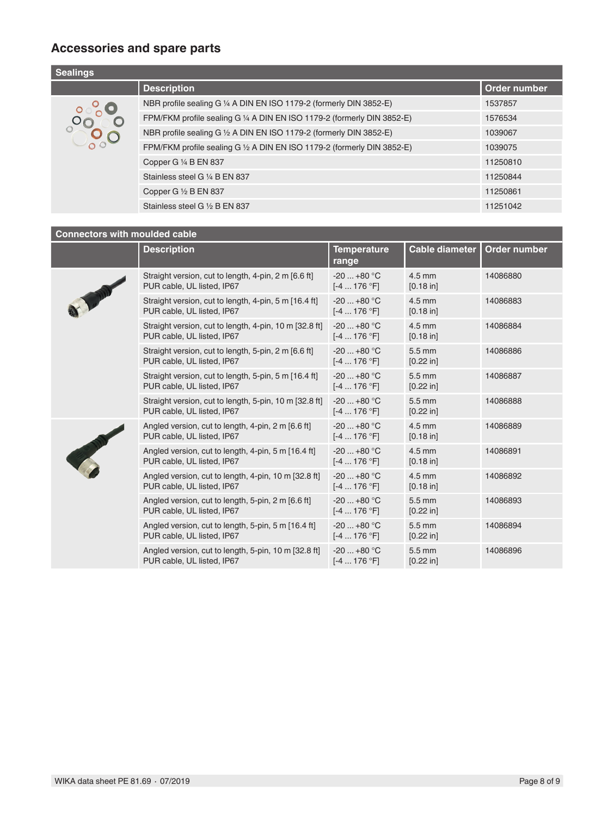# **Accessories and spare parts**

| <b>Sealings</b> |                                                                         |              |  |
|-----------------|-------------------------------------------------------------------------|--------------|--|
|                 | <b>Description</b>                                                      | Order number |  |
|                 | NBR profile sealing G 1/4 A DIN EN ISO 1179-2 (formerly DIN 3852-E)     | 1537857      |  |
|                 | FPM/FKM profile sealing G 1/4 A DIN EN ISO 1179-2 (formerly DIN 3852-E) | 1576534      |  |
|                 | NBR profile sealing G 1/2 A DIN EN ISO 1179-2 (formerly DIN 3852-E)     | 1039067      |  |
|                 | FPM/FKM profile sealing G 1/2 A DIN EN ISO 1179-2 (formerly DIN 3852-E) | 1039075      |  |
|                 | Copper G 1/4 B EN 837                                                   | 11250810     |  |
|                 | Stainless steel G 1/4 B EN 837                                          | 11250844     |  |
|                 | Copper G 1/2 B EN 837                                                   | 11250861     |  |
|                 | Stainless steel G 1/2 B EN 837                                          | 11251042     |  |

### **Connectors with moulded cable**

|          | <b>Description</b>                                                                   | <b>Temperature</b><br>range        | <b>Cable diameter</b> | Order number |
|----------|--------------------------------------------------------------------------------------|------------------------------------|-----------------------|--------------|
| THE BIRD | Straight version, cut to length, 4-pin, 2 m [6.6 ft]<br>PUR cable, UL listed, IP67   | $-20$ $+80$ °C<br>$[-4176 °F]$     | $4.5$ mm<br>[0.18 in] | 14086880     |
|          | Straight version, cut to length, 4-pin, 5 m [16.4 ft]<br>PUR cable, UL listed, IP67  | $-20+80 °C$<br>$[-4 \dots 176 °F]$ | $4.5$ mm<br>[0.18 in] | 14086883     |
|          | Straight version, cut to length, 4-pin, 10 m [32.8 ft]<br>PUR cable, UL listed, IP67 | $-20+80 °C$<br>$[-4 \dots 176 °F]$ | $4.5$ mm<br>[0.18 in] | 14086884     |
|          | Straight version, cut to length, 5-pin, 2 m [6.6 ft]<br>PUR cable, UL listed, IP67   | $-20+80 °C$<br>$[-4 \dots 176 °F]$ | 5.5 mm<br>[0.22 in]   | 14086886     |
|          | Straight version, cut to length, 5-pin, 5 m [16.4 ft]<br>PUR cable, UL listed, IP67  | $-20+80 °C$<br>$[-4176 °F]$        | $5.5$ mm<br>[0.22 in] | 14086887     |
|          | Straight version, cut to length, 5-pin, 10 m [32.8 ft]<br>PUR cable, UL listed, IP67 | $-20+80 °C$<br>$[-4176 °F]$        | 5.5 mm<br>[0.22 in]   | 14086888     |
|          | Angled version, cut to length, 4-pin, 2 m [6.6 ft]<br>PUR cable, UL listed, IP67     | $-20+80 °C$<br>$[-4 \dots 176 °F]$ | 4.5 mm<br>[0.18 in]   | 14086889     |
|          | Angled version, cut to length, 4-pin, 5 m [16.4 ft]<br>PUR cable, UL listed, IP67    | $-20+80 °C$<br>$[-4176 °F]$        | $4.5$ mm<br>[0.18 in] | 14086891     |
|          | Angled version, cut to length, 4-pin, 10 m [32.8 ft]<br>PUR cable, UL listed, IP67   | $-20+80 °C$<br>$[-4 \dots 176 °F]$ | 4.5 mm<br>[0.18 in]   | 14086892     |
|          | Angled version, cut to length, 5-pin, 2 m [6.6 ft]<br>PUR cable, UL listed, IP67     | $-20+80 °C$<br>$[-4 \dots 176 °F]$ | 5.5 mm<br>[0.22 in]   | 14086893     |
|          | Angled version, cut to length, 5-pin, 5 m [16.4 ft]<br>PUR cable, UL listed, IP67    | $-20+80 °C$<br>$[-4176 °F]$        | 5.5 mm<br>[0.22 in]   | 14086894     |
|          | Angled version, cut to length, 5-pin, 10 m [32.8 ft]<br>PUR cable, UL listed, IP67   | $-20+80$ °C<br>$[-4 \dots 176 °F]$ | 5.5 mm<br>[0.22 in]   | 14086896     |